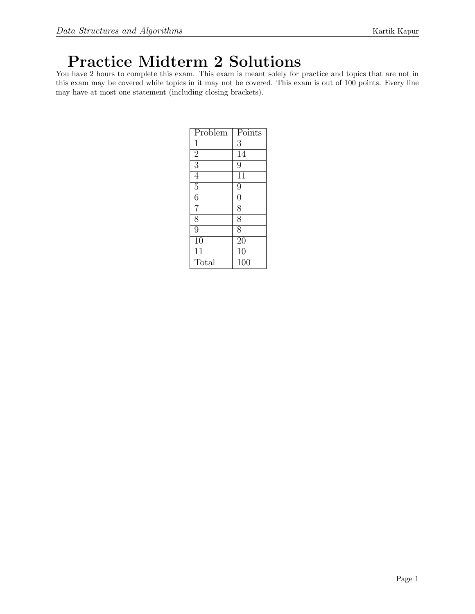# Practice Midterm 2 Solutions

You have 2 hours to complete this exam. This exam is meant solely for practice and topics that are not in this exam may be covered while topics in it may not be covered. This exam is out of 100 points. Every line may have at most one statement (including closing brackets).

| Problem         | Points         |
|-----------------|----------------|
| 1               | $\overline{3}$ |
| $\overline{2}$  | 14             |
| $\overline{3}$  | $\overline{9}$ |
| $\overline{4}$  | 11             |
| $\overline{5}$  | 9              |
| $\overline{6}$  | $\overline{0}$ |
| 7               | $\overline{8}$ |
| $\overline{8}$  | $\overline{8}$ |
| $\overline{9}$  | $\overline{8}$ |
| $\overline{1}0$ | 20             |
| 11              | 10             |
| Total           | 100            |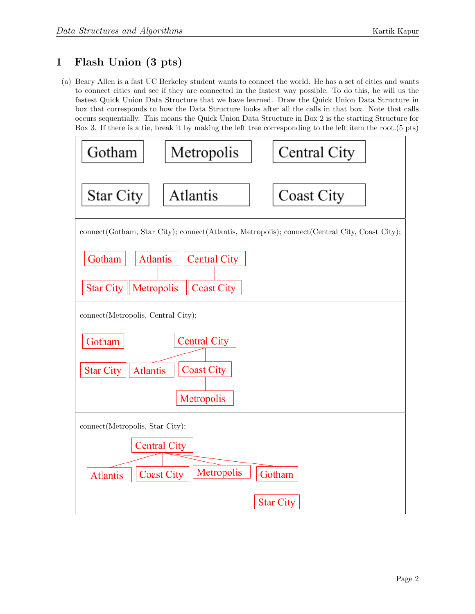## 1 Flash Union (3 pts)

(a) Beary Allen is a fast UC Berkeley student wants to connect the world. He has a set of cities and wants to connect cities and see if they are connected in the fastest way possible. To do this, he will us the fastest Quick Union Data Structure that we have learned. Draw the Quick Union Data Structure in box that corresponds to how the Data Structure looks after all the calls in that box. Note that calls occurs sequentially. This means the Quick Union Data Structure in Box 2 is the starting Structure for Box 3. If there is a tie, break it by making the left tree corresponding to the left item the root.(5 pts)

| Gotham                                                                                                  | Metropolis          | Central City      |
|---------------------------------------------------------------------------------------------------------|---------------------|-------------------|
| Star City                                                                                               | Atlantis            | <b>Coast City</b> |
| connect(Gotham, Star City); connect(Atlantis, Metropolis); connect(Central City, Coast City);           |                     |                   |
| <b>Atlantis</b><br>Gotham<br><b>Central City</b><br><b>Star City</b><br>Metropolis<br><b>Coast City</b> |                     |                   |
| connect(Metropolis, Central City);                                                                      |                     |                   |
| Gotham                                                                                                  | <b>Central City</b> |                   |
| <b>Coast City</b><br><b>Star City</b><br><b>Atlantis</b>                                                |                     |                   |
| Metropolis                                                                                              |                     |                   |
| connect(Metropolis, Star City);                                                                         |                     |                   |
| <b>Central City</b>                                                                                     |                     |                   |
| Metropolis<br><b>Coast City</b><br>Gotham<br><b>Atlantis</b>                                            |                     |                   |
|                                                                                                         |                     | <b>Star City</b>  |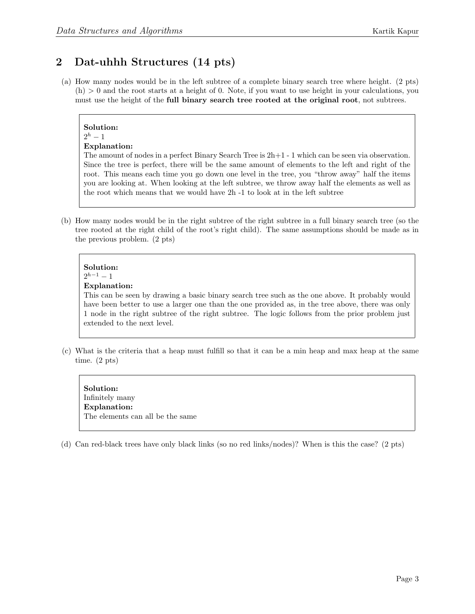## 2 Dat-uhhh Structures (14 pts)

(a) How many nodes would be in the left subtree of a complete binary search tree where height. (2 pts)  $(h) > 0$  and the root starts at a height of 0. Note, if you want to use height in your calculations, you must use the height of the full binary search tree rooted at the original root, not subtrees.

Solution:  $2^h-1$ Explanation: The amount of nodes in a perfect Binary Search Tree is  $2h+1$  - 1 which can be seen via observation. Since the tree is perfect, there will be the same amount of elements to the left and right of the root. This means each time you go down one level in the tree, you "throw away" half the items you are looking at. When looking at the left subtree, we throw away half the elements as well as

(b) How many nodes would be in the right subtree of the right subtree in a full binary search tree (so the tree rooted at the right child of the root's right child). The same assumptions should be made as in the previous problem. (2 pts)

the root which means that we would have 2h -1 to look at in the left subtree

## Solution:  $2^{h-1} - 1$

### Explanation:

This can be seen by drawing a basic binary search tree such as the one above. It probably would have been better to use a larger one than the one provided as, in the tree above, there was only 1 node in the right subtree of the right subtree. The logic follows from the prior problem just extended to the next level.

(c) What is the criteria that a heap must fulfill so that it can be a min heap and max heap at the same time. (2 pts)

Solution: Infinitely many Explanation: The elements can all be the same

(d) Can red-black trees have only black links (so no red links/nodes)? When is this the case? (2 pts)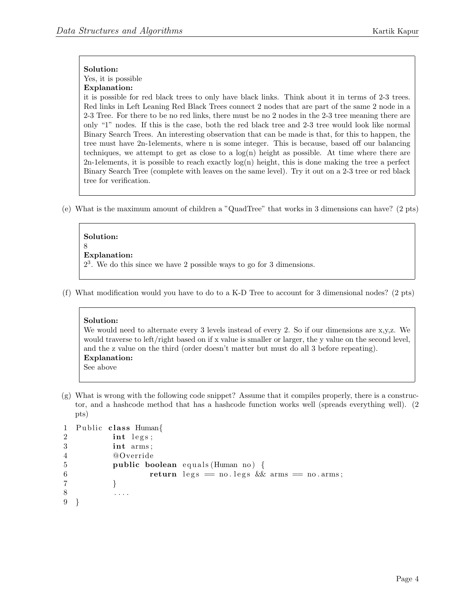Yes, it is possible

#### Explanation:

it is possible for red black trees to only have black links. Think about it in terms of 2-3 trees. Red links in Left Leaning Red Black Trees connect 2 nodes that are part of the same 2 node in a 2-3 Tree. For there to be no red links, there must be no 2 nodes in the 2-3 tree meaning there are only "1" nodes. If this is the case, both the red black tree and 2-3 tree would look like normal Binary Search Trees. An interesting observation that can be made is that, for this to happen, the tree must have 2n-1elements, where n is some integer. This is because, based off our balancing techniques, we attempt to get as close to a  $log(n)$  height as possible. At time where there are 2n-1elements, it is possible to reach exactly  $log(n)$  height, this is done making the tree a perfect Binary Search Tree (complete with leaves on the same level). Try it out on a 2-3 tree or red black tree for verification.

(e) What is the maximum amount of children a "QuadTree" that works in 3 dimensions can have? (2 pts)

### Solution:

8

### Explanation:

 $2<sup>3</sup>$ . We do this since we have 2 possible ways to go for 3 dimensions.

(f) What modification would you have to do to a K-D Tree to account for 3 dimensional nodes? (2 pts)

### Solution:

We would need to alternate every 3 levels instead of every 2. So if our dimensions are x,y,z. We would traverse to left/right based on if x value is smaller or larger, the y value on the second level, and the z value on the third (order doesn't matter but must do all 3 before repeating). Explanation: See above

(g) What is wrong with the following code snippet? Assume that it compiles properly, there is a constructor, and a hashcode method that has a hashcode function works well (spreads everything well). (2 pts)

```
1 Public class Human{
2 \quad \text{int } \text{legs};3 int arms ;
4 @Override
5 public boolean equals (Human no) {
6 return legs = no. legs \&\& arms = no. arms;
7 }
8 . . . .
9 }
```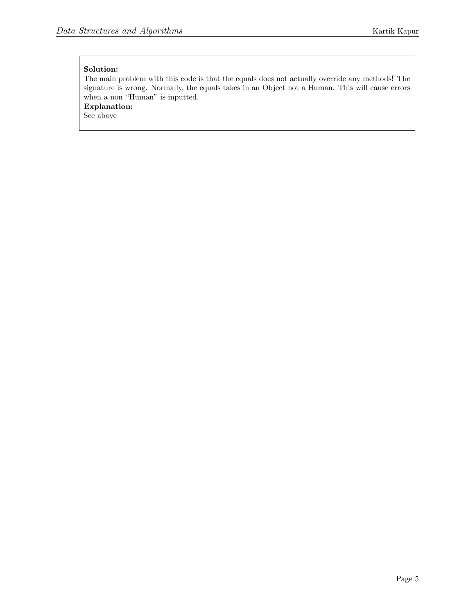The main problem with this code is that the equals does not actually override any methods! The signature is wrong. Normally, the equals takes in an Object not a Human. This will cause errors when a non "Human" is inputted.

Explanation:

See above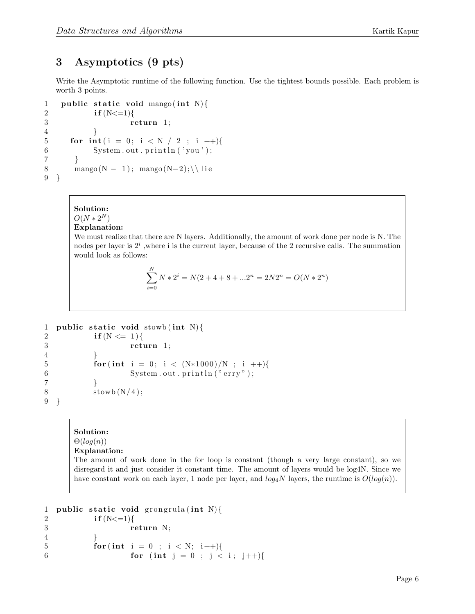## 3 Asymptotics (9 pts)

Write the Asymptotic runtime of the following function. Use the tightest bounds possible. Each problem is worth 3 points.

```
1 public static void mango (int N) {
2 if (N < = 1){
3 return 1;
4 }
5 for \text{int} (i = 0; i < N / 2; i +1)6 System.out.println('you');
7 }
8 mango (N − 1); mango (N−2); \ lie
9 }
```
## Solution:  $O(N * 2^N)$

### Explanation:

We must realize that there are N layers. Additionally, the amount of work done per node is N. The nodes per layer is  $2<sup>i</sup>$ , where i is the current layer, because of the 2 recursive calls. The summation would look as follows:

$$
\sum_{i=0}^{N} N * 2^{i} = N(2 + 4 + 8 + ... 2^{n} = 2N2^{n} = O(N * 2^{n})
$$

```
1 public static void stowb (int N) {
2 if (N \leq 1){
3 return 1;
4 }
5 for (int i = 0; i < (N*1000)/N; i ++){
6 System.out.println("erry");
7 }
8 \text{stowb}(N/4);9 }
```
## Solution:

#### $\Theta(log(n))$ Explanation:

The amount of work done in the for loop is constant (though a very large constant), so we disregard it and just consider it constant time. The amount of layers would be log4N. Since we have constant work on each layer, 1 node per layer, and  $log_4 N$  layers, the runtime is  $O(log(n))$ .

```
1 public static void grongrula (int N){
2 if (N < = 1){
3 return N;
4 }
5 for (int i = 0 ; i < N; i++){
6 for (int j = 0; j < i; j + j
```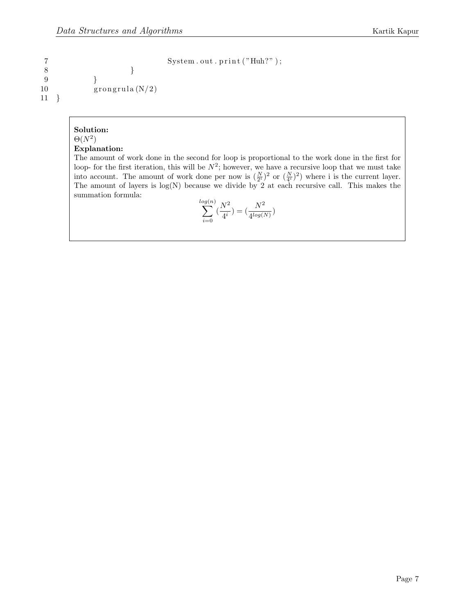```
7 System . out . print ("Huh?");
```

```
8 }
9 }
10 \qquad \qquad \text{group}(N/2)11 }
```
### Solution:  $\Theta(N^2)$

#### Explanation:

The amount of work done in the second for loop is proportional to the work done in the first for loop- for the first iteration, this will be  $N^2$ ; however, we have a recursive loop that we must take into account. The amount of work done per now is  $(\frac{N}{2^i})^2$  or  $(\frac{N}{4^i})^2$ ) where i is the current layer. The amount of layers is  $log(N)$  because we divide by 2 at each recursive call. This makes the summation formula:  $(1)$ 

$$
\sum_{i=0}^{\log(n)} \left(\frac{N^2}{4^i}\right) = \left(\frac{N^2}{4^{\log(N)}}\right)
$$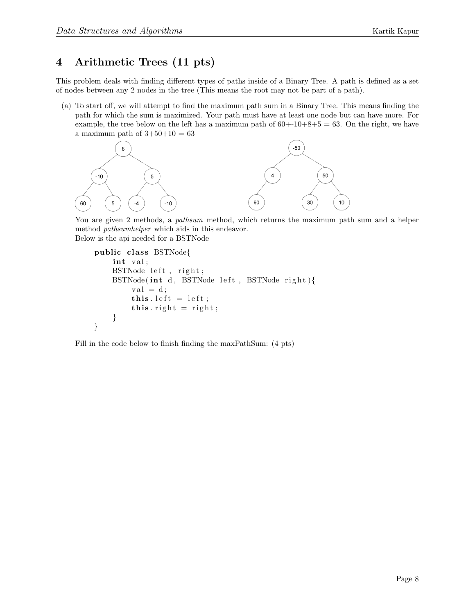## 4 Arithmetic Trees (11 pts)

This problem deals with finding different types of paths inside of a Binary Tree. A path is defined as a set of nodes between any 2 nodes in the tree (This means the root may not be part of a path).

(a) To start off, we will attempt to find the maximum path sum in a Binary Tree. This means finding the path for which the sum is maximized. Your path must have at least one node but can have more. For example, the tree below on the left has a maximum path of  $60+10+8+5=63$ . On the right, we have a maximum path of  $3+50+10=63$ 



You are given 2 methods, a *pathsum* method, which returns the maximum path sum and a helper method pathsumhelper which aids in this endeavor. Below is the api needed for a BSTNode

```
public class BSTNode{
    int val;
    BSTNode left, right;
    BSTNode(int d, BSTNode left, BSTNode right){
         val = d;this. left = left;
         this \text{. right} = \text{right};
    }
}
```
Fill in the code below to finish finding the maxPathSum: (4 pts)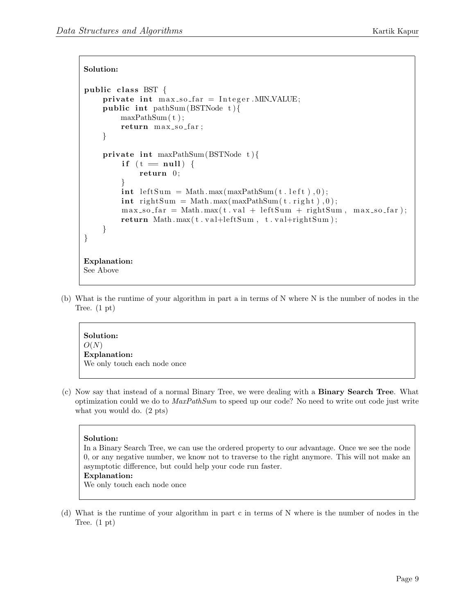```
Solution:
```

```
public class BST \{private int max_s o_f ar = Integer . MIN\_VALUE;public int pathSum (BSTNode t) {
         maxPathSum ( t ) ;
         return max_so_far;
     }
    private int maxPathSum (BSTNode t ){
          if (t = null) {
              return 0;
          }
         \text{int } \text{leftSum} = \text{Math.max}(\text{maxPathSum}(t \cdot \text{left}), 0);\text{int} rightSum = Math.max(maxPathSum(t.right),0);
         max_s o far = Math max(t \cdot val + leftSum + rightSum, max_s o far ;
         return Math.max(t \cdot val+leftSum, t \cdot val+rightSum);}
}
Explanation:
See Above
```
(b) What is the runtime of your algorithm in part a in terms of N where N is the number of nodes in the Tree. (1 pt)

Solution:  $O(N)$ Explanation: We only touch each node once

(c) Now say that instead of a normal Binary Tree, we were dealing with a Binary Search Tree. What optimization could we do to MaxPathSum to speed up our code? No need to write out code just write what you would do. (2 pts)

### Solution:

In a Binary Search Tree, we can use the ordered property to our advantage. Once we see the node 0, or any negative number, we know not to traverse to the right anymore. This will not make an asymptotic difference, but could help your code run faster.

### Explanation:

We only touch each node once

(d) What is the runtime of your algorithm in part c in terms of N where is the number of nodes in the Tree. (1 pt)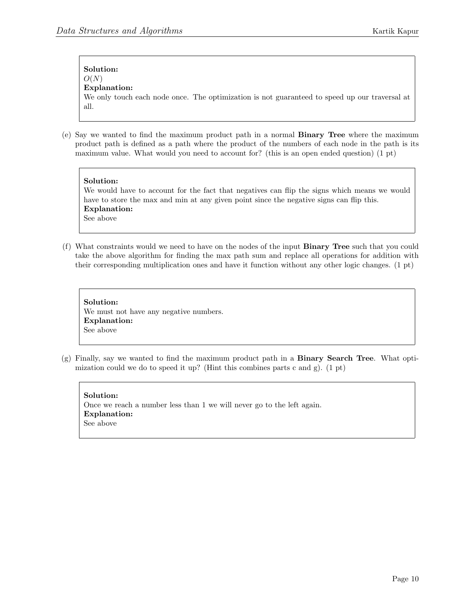## Solution:  $O(N)$

#### Explanation:

We only touch each node once. The optimization is not guaranteed to speed up our traversal at all.

(e) Say we wanted to find the maximum product path in a normal Binary Tree where the maximum product path is defined as a path where the product of the numbers of each node in the path is its maximum value. What would you need to account for? (this is an open ended question) (1 pt)

## Solution:

We would have to account for the fact that negatives can flip the signs which means we would have to store the max and min at any given point since the negative signs can flip this. Explanation: See above

(f) What constraints would we need to have on the nodes of the input Binary Tree such that you could take the above algorithm for finding the max path sum and replace all operations for addition with their corresponding multiplication ones and have it function without any other logic changes. (1 pt)

Solution: We must not have any negative numbers. Explanation: See above

(g) Finally, say we wanted to find the maximum product path in a Binary Search Tree. What optimization could we do to speed it up? (Hint this combines parts c and g).  $(1 \text{ pt})$ 

Solution: Once we reach a number less than 1 we will never go to the left again. Explanation: See above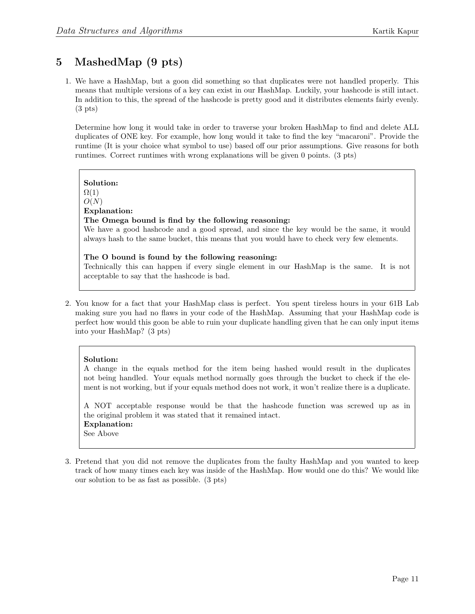## 5 MashedMap (9 pts)

1. We have a HashMap, but a goon did something so that duplicates were not handled properly. This means that multiple versions of a key can exist in our HashMap. Luckily, your hashcode is still intact. In addition to this, the spread of the hashcode is pretty good and it distributes elements fairly evenly.  $(3 \text{ pts})$ 

Determine how long it would take in order to traverse your broken HashMap to find and delete ALL duplicates of ONE key. For example, how long would it take to find the key "macaroni". Provide the runtime (It is your choice what symbol to use) based off our prior assumptions. Give reasons for both runtimes. Correct runtimes with wrong explanations will be given 0 points. (3 pts)

# Solution:

 $\Omega(1)$ 

#### $O(N)$ Explanation:

## The Omega bound is find by the following reasoning:

We have a good hashcode and a good spread, and since the key would be the same, it would always hash to the same bucket, this means that you would have to check very few elements.

#### The O bound is found by the following reasoning: Technically this can happen if every single element in our HashMap is the same. It is not acceptable to say that the hashcode is bad.

2. You know for a fact that your HashMap class is perfect. You spent tireless hours in your 61B Lab making sure you had no flaws in your code of the HashMap. Assuming that your HashMap code is perfect how would this goon be able to ruin your duplicate handling given that he can only input items into your HashMap? (3 pts)

## Solution:

A change in the equals method for the item being hashed would result in the duplicates not being handled. Your equals method normally goes through the bucket to check if the element is not working, but if your equals method does not work, it won't realize there is a duplicate.

A NOT acceptable response would be that the hashcode function was screwed up as in the original problem it was stated that it remained intact. Explanation: See Above

3. Pretend that you did not remove the duplicates from the faulty HashMap and you wanted to keep track of how many times each key was inside of the HashMap. How would one do this? We would like our solution to be as fast as possible. (3 pts)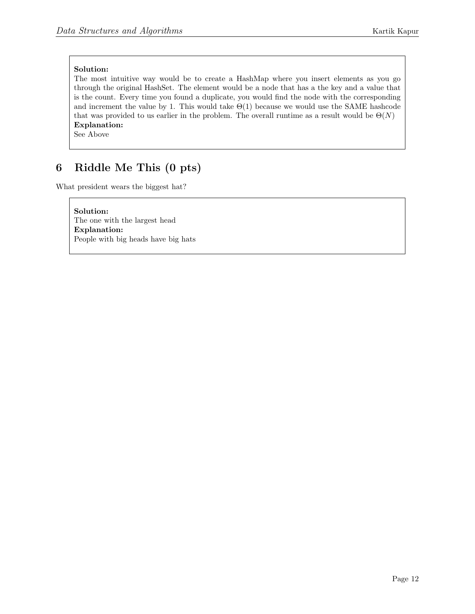The most intuitive way would be to create a HashMap where you insert elements as you go through the original HashSet. The element would be a node that has a the key and a value that is the count. Every time you found a duplicate, you would find the node with the corresponding and increment the value by 1. This would take  $\Theta(1)$  because we would use the SAME hashcode that was provided to us earlier in the problem. The overall runtime as a result would be  $\Theta(N)$ Explanation:

See Above

## 6 Riddle Me This (0 pts)

What president wears the biggest hat?

Solution: The one with the largest head Explanation: People with big heads have big hats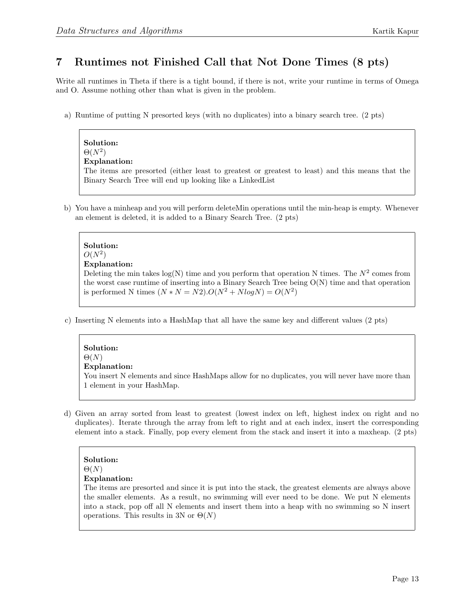## 7 Runtimes not Finished Call that Not Done Times (8 pts)

Write all runtimes in Theta if there is a tight bound, if there is not, write your runtime in terms of Omega and O. Assume nothing other than what is given in the problem.

a) Runtime of putting N presorted keys (with no duplicates) into a binary search tree. (2 pts)

## $\Theta(N^2)$ Explanation: The items are presorted (either least to greatest or greatest to least) and this means that the Binary Search Tree will end up looking like a LinkedList

b) You have a minheap and you will perform deleteMin operations until the min-heap is empty. Whenever an element is deleted, it is added to a Binary Search Tree. (2 pts)

## Solution:  $O(N^2)$ Explanation:

Deleting the min takes  $log(N)$  time and you perform that operation N times. The  $N^2$  comes from the worst case runtime of inserting into a Binary Search Tree being  $O(N)$  time and that operation is performed N times  $(N*N = N2) \cdot O(N^2 + N log N) = O(N^2)$ 

c) Inserting N elements into a HashMap that all have the same key and different values (2 pts)

## Solution:

 $\Theta(N)$ 

## Explanation:

You insert N elements and since HashMaps allow for no duplicates, you will never have more than 1 element in your HashMap.

d) Given an array sorted from least to greatest (lowest index on left, highest index on right and no duplicates). Iterate through the array from left to right and at each index, insert the corresponding element into a stack. Finally, pop every element from the stack and insert it into a maxheap. (2 pts)

## Solution:  $\Theta(N)$

### Explanation:

The items are presorted and since it is put into the stack, the greatest elements are always above the smaller elements. As a result, no swimming will ever need to be done. We put N elements into a stack, pop off all N elements and insert them into a heap with no swimming so N insert operations. This results in 3N or  $\Theta(N)$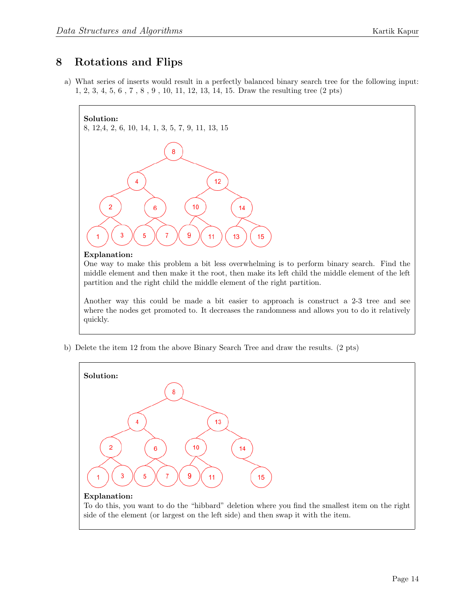## 8 Rotations and Flips

a) What series of inserts would result in a perfectly balanced binary search tree for the following input: 1, 2, 3, 4, 5, 6 , 7 , 8 , 9 , 10, 11, 12, 13, 14, 15. Draw the resulting tree (2 pts)



#### Explanation:

One way to make this problem a bit less overwhelming is to perform binary search. Find the middle element and then make it the root, then make its left child the middle element of the left partition and the right child the middle element of the right partition.

Another way this could be made a bit easier to approach is construct a 2-3 tree and see where the nodes get promoted to. It decreases the randomness and allows you to do it relatively quickly.

b) Delete the item 12 from the above Binary Search Tree and draw the results. (2 pts)



To do this, you want to do the "hibbard" deletion where you find the smallest item on the right side of the element (or largest on the left side) and then swap it with the item.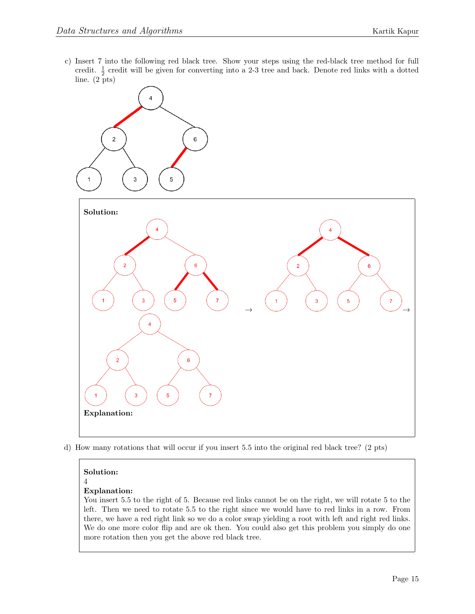c) Insert 7 into the following red black tree. Show your steps using the red-black tree method for full credit.  $\frac{1}{2}$  credit will be given for converting into a 2-3 tree and back. Denote red links with a dotted line. (2 pts)



d) How many rotations that will occur if you insert 5.5 into the original red black tree? (2 pts)

### Solution:

4

### Explanation:

You insert 5.5 to the right of 5. Because red links cannot be on the right, we will rotate 5 to the left. Then we need to rotate 5.5 to the right since we would have to red links in a row. From there, we have a red right link so we do a color swap yielding a root with left and right red links. We do one more color flip and are ok then. You could also get this problem you simply do one more rotation then you get the above red black tree.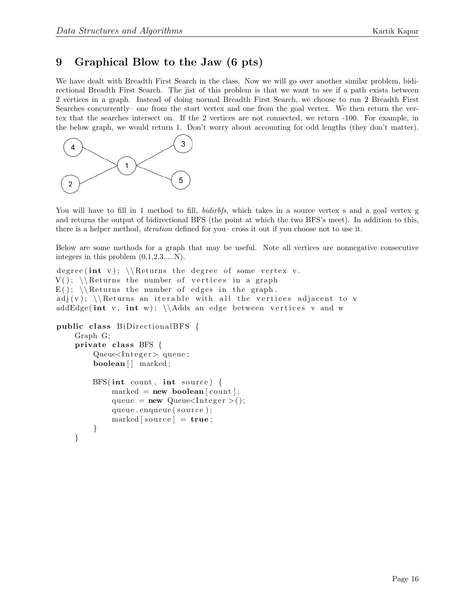## 9 Graphical Blow to the Jaw (6 pts)

We have dealt with Breadth First Search in the class. Now we will go over another similar problem, bidirectional Breadth First Search. The jist of this problem is that we want to see if a path exists between 2 vertices in a graph. Instead of doing normal Breadth First Search, we choose to run 2 Breadth First Searches concurrently– one from the start vertex and one from the goal vertex. We then return the vertex that the searches intersect on. If the 2 vertices are not connected, we return -100. For example, in the below graph, we would return 1. Don't worry about accounting for odd lengths (they don't matter).



You will have to fill in 1 method to fill, *bidirbfs*, which takes in a source vertex s and a goal vertex g and returns the output of bidirectional BFS (the point at which the two BFS's meet). In addition to this, there is a helper method, iteration defined for you– cross it out if you choose not to use it.

Below are some methods for a graph that may be useful. Note all vertices are nonnegative consecutive integers in this problem  $(0,1,2,3,...N)$ .

```
degree (int v); \Re Returns the degree of some vertex v.
V(); \Re Returns the number of vertices in a graph
E(); \Re Returns the number of edges in the graph.
adj(v); \Returns an iterable with all the vertices adjacent to v
addEdge(int v, int w); \{\Adds\} an edge between vertices v and w
public class BiDirectionalBFS {
    Graph G;
    private class BFS \{Queue < Inter>Integer > queue;boolean \vert \vert marked;
        BFS(int count, int source)marked = new boolean [count];queue = new Queue < Integer > ();
             queue . enqueue ( source );
             marked[source] = true;}
    }
```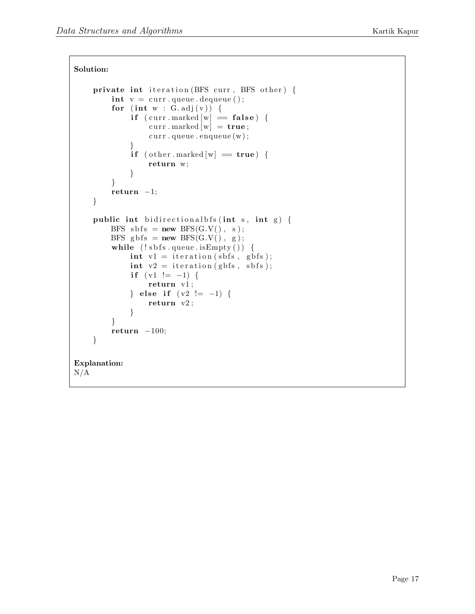```
Solution:
    private int iteration (BFS curr, BFS other) {
         int v = \text{curr} \cdot \text{queue} \cdot \text{dequeue} ();
         for (int w : G.add(v)) {
              if (curr.marked [w] = false) {
                  curr . marked \overline{w} = true;
                  curr. queue. enqueue(w);
             }
             if ( other . marked [w] = true) {
                  return w;
             }
         }
         return -1;}
    public int bidirectionalbfs (int s, int g) {
         BFS sbfs = new BFS(G.V(), s);
         BFS gbfs = new BFS(G.V(), g);
         while (!s\text{ bfs}.queue.isEmpty()) {
             int v1 = iteration(sbfs, gbfs);int v2 = iteration(gbfs, sbfs);if (v1 := -1) {
                  return v1;
             } else if (v2 := -1) {
                  return v2 ;
             }
         }
         return -100;
    }
Explanation:
N/A
```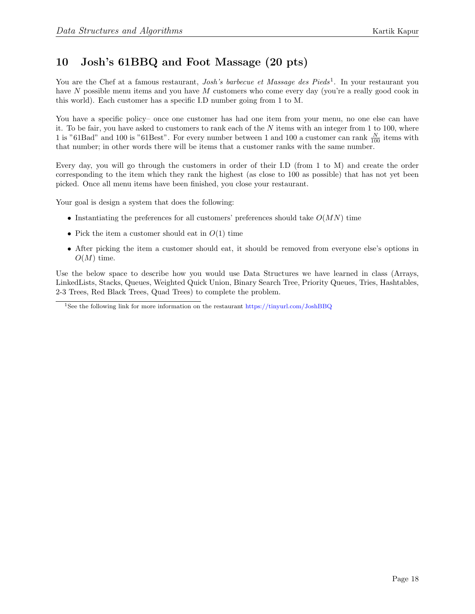## 10 Josh's 61BBQ and Foot Massage (20 pts)

You are the Chef at a famous restaurant, *Josh's barbecue et Massage des Pieds*<sup>[1](#page-17-0)</sup>. In your restaurant you have N possible menu items and you have M customers who come every day (you're a really good cook in this world). Each customer has a specific I.D number going from 1 to M.

You have a specific policy– once one customer has had one item from your menu, no one else can have it. To be fair, you have asked to customers to rank each of the  $N$  items with an integer from 1 to 100, where 1 is "61Bad" and 100 is "61Best". For every number between 1 and 100 a customer can rank  $\frac{N}{100}$  items with that number; in other words there will be items that a customer ranks with the same number.

Every day, you will go through the customers in order of their I.D (from 1 to M) and create the order corresponding to the item which they rank the highest (as close to 100 as possible) that has not yet been picked. Once all menu items have been finished, you close your restaurant.

Your goal is design a system that does the following:

- Instantiating the preferences for all customers' preferences should take  $O(MN)$  time
- Pick the item a customer should eat in  $O(1)$  time
- After picking the item a customer should eat, it should be removed from everyone else's options in  $O(M)$  time.

Use the below space to describe how you would use Data Structures we have learned in class (Arrays, LinkedLists, Stacks, Queues, Weighted Quick Union, Binary Search Tree, Priority Queues, Tries, Hashtables, 2-3 Trees, Red Black Trees, Quad Trees) to complete the problem.

<span id="page-17-0"></span><sup>&</sup>lt;sup>1</sup>See the following link for more information on the restaurant <https://tinyurl.com/JoshBBQ>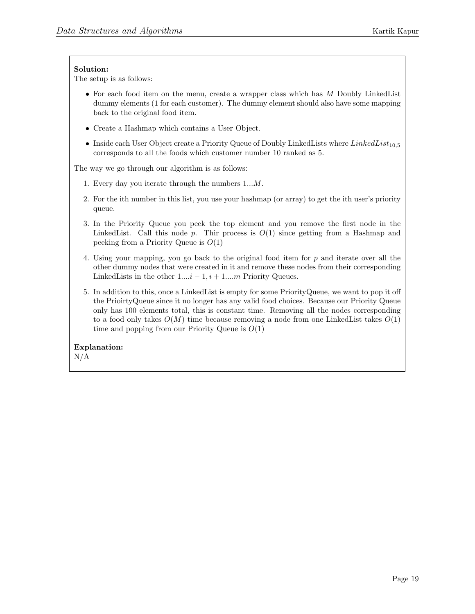The setup is as follows:

- For each food item on the menu, create a wrapper class which has M Doubly LinkedList dummy elements (1 for each customer). The dummy element should also have some mapping back to the original food item.
- Create a Hashmap which contains a User Object.
- Inside each User Object create a Priority Queue of Doubly LinkedLists where  $LinkedList_{10.5}$ corresponds to all the foods which customer number 10 ranked as 5.

The way we go through our algorithm is as follows:

- 1. Every day you iterate through the numbers 1...M.
- 2. For the ith number in this list, you use your hashmap (or array) to get the ith user's priority queue.
- 3. In the Priority Queue you peek the top element and you remove the first node in the LinkedList. Call this node  $p$ . Thir process is  $O(1)$  since getting from a Hashmap and peeking from a Priority Queue is  $O(1)$
- 4. Using your mapping, you go back to the original food item for p and iterate over all the other dummy nodes that were created in it and remove these nodes from their corresponding LinkedLists in the other  $1...i-1, i+1...m$  Priority Queues.
- 5. In addition to this, once a LinkedList is empty for some PriorityQueue, we want to pop it off the PrioirtyQueue since it no longer has any valid food choices. Because our Priority Queue only has 100 elements total, this is constant time. Removing all the nodes corresponding to a food only takes  $O(M)$  time because removing a node from one LinkedList takes  $O(1)$ time and popping from our Priority Queue is  $O(1)$

# Explanation: